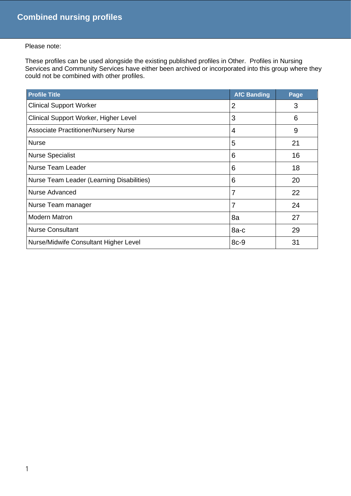## Please note:

These profiles can be used alongside the existing published profiles in Other. Profiles in Nursing Services and Community Services have either been archived or incorporated into this group where they could not be combined with other profiles.

| <b>Profile Title</b>                        | <b>AfC Banding</b> | Page |
|---------------------------------------------|--------------------|------|
| <b>Clinical Support Worker</b>              | $\overline{2}$     | 3    |
| Clinical Support Worker, Higher Level       | 3                  | 6    |
| <b>Associate Practitioner/Nursery Nurse</b> | 4                  | 9    |
| <b>Nurse</b>                                | 5                  | 21   |
| <b>Nurse Specialist</b>                     | 6                  | 16   |
| <b>Nurse Team Leader</b>                    | 6                  | 18   |
| Nurse Team Leader (Learning Disabilities)   | 6                  | 20   |
| <b>Nurse Advanced</b>                       | 7                  | 22   |
| Nurse Team manager                          | 7                  | 24   |
| <b>Modern Matron</b>                        | 8a                 | 27   |
| <b>Nurse Consultant</b>                     | $8a-c$             | 29   |
| Nurse/Midwife Consultant Higher Level       | $8c-9$             | 31   |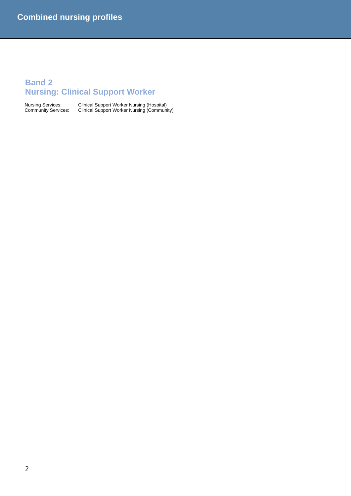## **Band 2 Nursing: Clinical Support Worker**

Nursing Services: Clinical Support Worker Nursing (Hospital) Community Services: Clinical Support Worker Nursing (Community)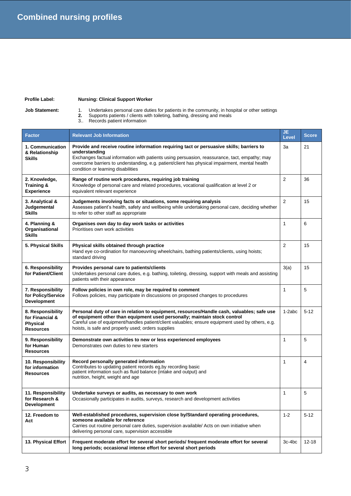## **Profile Label: Nursing: Clinical Support Worker**

**Job Statement:** 1. Undertakes personal care duties for patients in the community, in hospital or other settings

**2.** Supports patients / clients with toileting, bathing, dressing and meals

3.. Records patient information

| <b>Factor</b>                                                               | <b>Relevant Job Information</b>                                                                                                                                                                                                                                                                                                                    | JE.<br>Level   | <b>Score</b>   |
|-----------------------------------------------------------------------------|----------------------------------------------------------------------------------------------------------------------------------------------------------------------------------------------------------------------------------------------------------------------------------------------------------------------------------------------------|----------------|----------------|
| 1. Communication<br>& Relationship<br><b>Skills</b>                         | Provide and receive routine information requiring tact or persuasive skills; barriers to<br>understanding<br>Exchanges factual information with patients using persuasion, reassurance, tact, empathy; may<br>overcome barriers to understanding, e.g. patient/client has physical impairment, mental health<br>condition or learning disabilities | За             | 21             |
| 2. Knowledge,<br>Training &<br><b>Experience</b>                            | Range of routine work procedures, requiring job training<br>Knowledge of personal care and related procedures, vocational qualification at level 2 or<br>equivalent relevant experience                                                                                                                                                            | $\overline{2}$ | 36             |
| 3. Analytical &<br>Judgemental<br><b>Skills</b>                             | Judgements involving facts or situations, some requiring analysis<br>Assesses patient's health, safety and wellbeing while undertaking personal care, deciding whether<br>to refer to other staff as appropriate                                                                                                                                   | $\overline{2}$ | 15             |
| 4. Planning &<br>Organisational<br><b>Skills</b>                            | Organises own day to day work tasks or activities<br>Prioritises own work activities                                                                                                                                                                                                                                                               | $\mathbf{1}$   | 6              |
| 5. Physical Skills                                                          | Physical skills obtained through practice<br>Hand eye co-ordination for manoeuvring wheelchairs, bathing patients/clients, using hoists;<br>standard driving                                                                                                                                                                                       | $\overline{2}$ | 15             |
| 6. Responsibility<br>for Patient/Client                                     | Provides personal care to patients/clients<br>Undertakes personal care duties, e.g. bathing, toileting, dressing, support with meals and assisting<br>patients with their appearance                                                                                                                                                               | 3(a)           | 15             |
| 7. Responsibility<br>for Policy/Service<br><b>Development</b>               | Follow policies in own role, may be required to comment<br>Follows policies, may participate in discussions on proposed changes to procedures                                                                                                                                                                                                      | 1              | 5              |
| 8. Responsibility<br>for Financial &<br><b>Physical</b><br><b>Resources</b> | Personal duty of care in relation to equipment, resources/Handle cash, valuables; safe use<br>of equipment other than equipment used personally; maintain stock control<br>Careful use of equipment/handles patient/client valuables; ensure equipment used by others, e.g.<br>hoists, is safe and properly used; orders supplies                  | 1-2abc         | $5 - 12$       |
| 9. Responsibility<br>for Human<br><b>Resources</b>                          | Demonstrate own activities to new or less experienced employees<br>Demonstrates own duties to new starters                                                                                                                                                                                                                                         | 1              | 5              |
| 10. Responsibility<br>for information<br><b>Resources</b>                   | Record personally generated information<br>Contributes to updating patient records eg, by recording basic<br>patient information such as fluid balance (intake and output) and<br>nutrition, height, weight and age                                                                                                                                | 1              | $\overline{4}$ |
| 11. Responsibility<br>for Research &<br><b>Development</b>                  | Undertake surveys or audits, as necessary to own work<br>Occasionally participates in audits, surveys, research and development activities                                                                                                                                                                                                         | $\mathbf{1}$   | 5              |
| 12. Freedom to<br>Act                                                       | Well-established procedures, supervision close by/Standard operating procedures,<br>someone available for reference<br>Carries out routine personal care duties, supervision available/ Acts on own initiative when<br>delivering personal care, supervision accessible                                                                            | $1 - 2$        | $5 - 12$       |
| 13. Physical Effort                                                         | Frequent moderate effort for several short periods/ frequent moderate effort for several<br>long periods; occasional intense effort for several short periods                                                                                                                                                                                      | 3c-4bc         | 12-18          |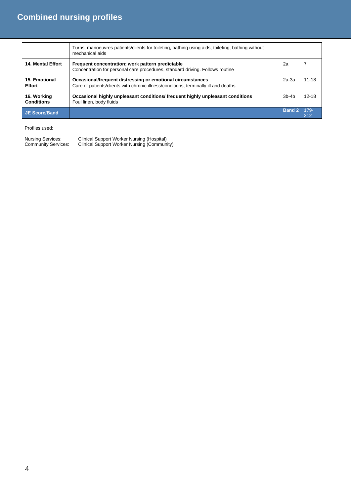|                                  | Turns, manoeuvres patients/clients for toileting, bathing using aids; toileting, bathing without<br>mechanical aids                               |               |                |
|----------------------------------|---------------------------------------------------------------------------------------------------------------------------------------------------|---------------|----------------|
| 14. Mental Effort                | Frequent concentration; work pattern predictable<br>Concentration for personal care procedures, standard driving. Follows routine                 | 2a            |                |
| 15. Emotional<br><b>Effort</b>   | Occasional/frequent distressing or emotional circumstances<br>Care of patients/clients with chronic illness/conditions, terminally ill and deaths | 2a-3a         | $11 - 18$      |
| 16. Working<br><b>Conditions</b> | Occasional highly unpleasant conditions/ frequent highly unpleasant conditions<br>Foul linen, body fluids                                         | $3b$ -4 $b$   | $12 - 18$      |
| <b>JE Score/Band</b>             |                                                                                                                                                   | <b>Band 2</b> | $179 -$<br>212 |

| Nursing Services:          | Clinical Support Worker Nursing (Hospital)  |
|----------------------------|---------------------------------------------|
| <b>Community Services:</b> | Clinical Support Worker Nursing (Community) |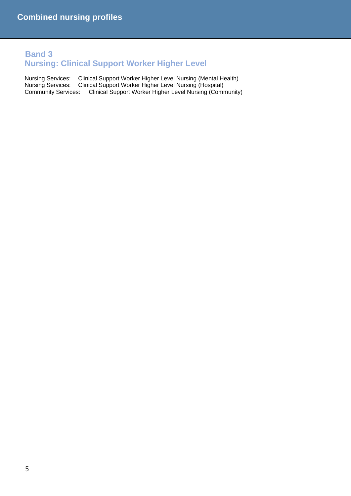## **Band 3 Nursing: Clinical Support Worker Higher Level**

Nursing Services: Clinical Support Worker Higher Level Nursing (Mental Health) Nursing Services: Clinical Support Worker Higher Level Nursing (Hospital)<br>Community Services: Clinical Support Worker Higher Level Nursing (Comr Clinical Support Worker Higher Level Nursing (Community)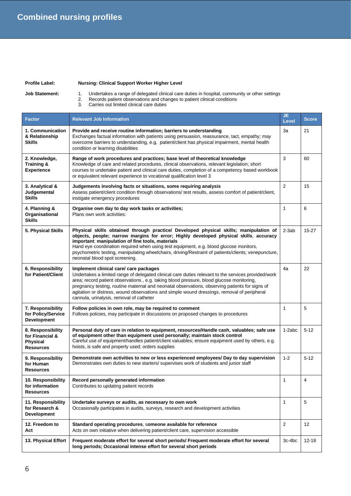**Profile Label: Nursing: Clinical Support Worker Higher Level**

**Job Statement:** 1. Undertakes a range of delegated clinical care duties in hospital, community or other settings

- 2. Records patient observations and changes to patient clinical conditions
- 3. Carries out limited clinical care duties

| <b>Factor</b>                                                               | <b>Relevant Job Information</b>                                                                                                                                                                                                                                                                                                                                                                                                                                                        | JE<br><b>Level</b> | <b>Score</b> |
|-----------------------------------------------------------------------------|----------------------------------------------------------------------------------------------------------------------------------------------------------------------------------------------------------------------------------------------------------------------------------------------------------------------------------------------------------------------------------------------------------------------------------------------------------------------------------------|--------------------|--------------|
| 1. Communication<br>& Relationship<br><b>Skills</b>                         | Provide and receive routine information; barriers to understanding<br>Exchanges factual information with patients using persuasion, reassurance, tact, empathy; may<br>overcome barriers to understanding, e.g. patient/client has physical impairment, mental health<br>condition or learning disabilities                                                                                                                                                                            | За                 | 21           |
| 2. Knowledge,<br>Training &<br><b>Experience</b>                            | 3<br>Range of work procedures and practices; base level of theoretical knowledge<br>Knowledge of care and related procedures, clinical observations, relevant legislation; short<br>courses to undertake patient and clinical care duties, completion of a competency based workbook<br>or equivalent relevant experience to vocational qualification level 3                                                                                                                          |                    | 60           |
| 3. Analytical &<br>Judgemental<br><b>Skills</b>                             | Judgements involving facts or situations, some requiring analysis<br>Assess patient/client condition through observations/ test results, assess comfort of patient/client,<br>instigate emergency procedures                                                                                                                                                                                                                                                                           | $\overline{2}$     | 15           |
| 4. Planning &<br>Organisational<br><b>Skills</b>                            | Organise own day to day work tasks or activities;<br>Plans own work activities:                                                                                                                                                                                                                                                                                                                                                                                                        | 1                  | 6            |
| 5. Physical Skills                                                          | Physical skills obtained through practice/ Developed physical skills; manipulation of<br>objects, people; narrow margins for error; Highly developed physical skills, accuracy<br>important; manipulation of fine tools, materials<br>Hand eye coordination required when using test equipment, e.g. blood glucose monitors,<br>psychometric testing, manipulating wheelchairs, driving/Restraint of patients/clients; venepuncture,<br>neonatal blood spot screening.                 | $2-3ab$            | $15 - 27$    |
| 6. Responsibility<br>for Patient/Client                                     | Implement clinical care/ care packages<br>Undertakes a limited range of delegated clinical care duties relevant to the services provided/work<br>area; record patient observations, e.g. taking blood pressure, blood glucose monitoring,<br>pregnancy testing, routine maternal and neonatal observations, observing patients for signs of<br>agitation or distress, wound observations and simple wound dressings, removal of peripheral<br>cannula, urinalysis, removal of catheter | 4a                 | 22           |
| 7. Responsibility<br>for Policy/Service<br><b>Development</b>               | Follow policies in own role, may be required to comment<br>Follows policies, may participate in discussions on proposed changes to procedures                                                                                                                                                                                                                                                                                                                                          | 1                  | 5            |
| 8. Responsibility<br>for Financial &<br><b>Physical</b><br><b>Resources</b> | Personal duty of care in relation to equipment, resources/Handle cash, valuables; safe use<br>of equipment other than equipment used personally; maintain stock control<br>Careful use of equipment/handles patient/client valuables; ensure equipment used by others, e.g.<br>hoists, is safe and properly used; orders supplies                                                                                                                                                      | $1-2abc$           | $5 - 12$     |
| 9. Responsibility<br>for Human<br><b>Resources</b>                          | Demonstrate own activities to new or less experienced employees/ Day to day supervision<br>Demonstrates own duties to new starters/ supervises work of students and junior staff                                                                                                                                                                                                                                                                                                       | $1 - 2$            | $5 - 12$     |
| 10. Responsibility<br>for information<br><b>Resources</b>                   | Record personally generated information<br>Contributes to updating patient records                                                                                                                                                                                                                                                                                                                                                                                                     | 1                  | 4            |
| 11. Responsibility<br>for Research &<br><b>Development</b>                  | Undertake surveys or audits, as necessary to own work<br>Occasionally participates in audits, surveys, research and development activities                                                                                                                                                                                                                                                                                                                                             | 1                  | 5            |
| 12. Freedom to<br>Act                                                       | Standard operating procedures, someone available for reference<br>Acts on own initiative when delivering patient/client care, supervision accessible                                                                                                                                                                                                                                                                                                                                   | $\mathbf{2}$       | 12           |
| 13. Physical Effort                                                         | Frequent moderate effort for several short periods/ Frequent moderate effort for several<br>long periods; Occasional intense effort for several short periods                                                                                                                                                                                                                                                                                                                          | 3c-4bc             | $12 - 18$    |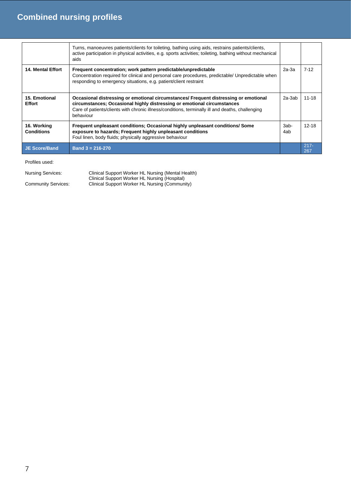|                                  | Turns, manoeuvres patients/clients for toileting, bathing using aids, restrains patients/clients,<br>active participation in physical activities, e.g. sports activities; toileting, bathing without mechanical<br>aids                                                          |             |                |
|----------------------------------|----------------------------------------------------------------------------------------------------------------------------------------------------------------------------------------------------------------------------------------------------------------------------------|-------------|----------------|
| <b>14. Mental Effort</b>         | Frequent concentration; work pattern predictable/unpredictable<br>Concentration required for clinical and personal care procedures, predictable/ Unpredictable when<br>responding to emergency situations, e.g. patient/client restraint                                         | $2a-3a$     | $7-12$         |
| 15. Emotional<br><b>Effort</b>   | Occasional distressing or emotional circumstances/ Frequent distressing or emotional<br>circumstances; Occasional highly distressing or emotional circumstances<br>Care of patients/clients with chronic illness/conditions, terminally ill and deaths, challenging<br>behaviour | 2a-3ab      | 11-18          |
| 16. Working<br><b>Conditions</b> | Frequent unpleasant conditions; Occasional highly unpleasant conditions/ Some<br>exposure to hazards; Frequent highly unpleasant conditions<br>Foul linen, body fluids; physically aggressive behaviour                                                                          | 3ab-<br>4ab | $12 - 18$      |
| <b>JE Score/Band</b>             | Band $3 = 216 - 270$                                                                                                                                                                                                                                                             |             | $217 -$<br>267 |

| <b>Nursing Services:</b> | Clinical Support Worker HL Nursing (Mental Health) |
|--------------------------|----------------------------------------------------|
|                          | Clinical Support Worker HL Nursing (Hospital)      |
| Community Services:      | Clinical Support Worker HL Nursing (Community)     |
|                          |                                                    |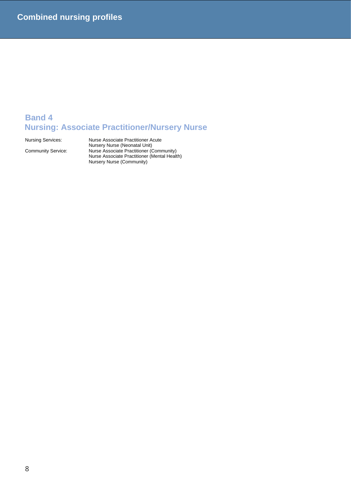## **Band 4 Nursing: Associate Practitioner/Nursery Nurse**

Nursing Services: Nurse Associate Practitioner Acute Nursery Nurse (Neonatal Unit) Community Service: Nurse Associate Practitioner (Community) Nurse Associate Practitioner (Mental Health) Nursery Nurse (Community)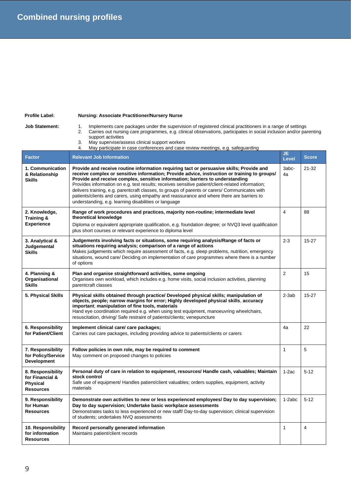### **Profile Label: Nursing: Associate Practitioner/Nursery Nurse**

**Job Statement:** 1. Implements care packages under the supervision of registered clinical practitioners in a range of settings 2. Carries out nursing care programmes, e.g. clinical observations, participates in social inclusion and/or parenting support activities

- 3. May supervise/assess clinical support workers
- 4. May participate in case conferences and case review meetings, e.g. safeguarding

| <b>Factor</b>                                                               | <b>Relevant Job Information</b>                                                                                                                                                                                                                                                                                                                                                                                                                                                                                                                                                                                                         | JE<br>Level    | <b>Score</b>            |
|-----------------------------------------------------------------------------|-----------------------------------------------------------------------------------------------------------------------------------------------------------------------------------------------------------------------------------------------------------------------------------------------------------------------------------------------------------------------------------------------------------------------------------------------------------------------------------------------------------------------------------------------------------------------------------------------------------------------------------------|----------------|-------------------------|
| 1. Communication<br>& Relationship<br><b>Skills</b>                         | Provide and receive routine information requiring tact or persuasive skills; Provide and<br>receive complex or sensitive information; Provide advice, instruction or training to groups/<br>Provide and receive complex, sensitive information; barriers to understanding<br>Provides information on e.g. test results; receives sensitive patient/client-related information;<br>delivers training, e.g. parentcraft classes, to groups of parents or carers/ Communicates with<br>patients/clients and carers, using empathy and reassurance and where there are barriers to<br>understanding, e.g. learning disabilities or language | 3abc-<br>4a    | $21 - 32$               |
| 2. Knowledge,<br>Training &<br><b>Experience</b>                            | Range of work procedures and practices, majority non-routine; intermediate level<br>theoretical knowledge<br>Diploma or equivalent appropriate qualification, e.g. foundation degree; or NVQ3 level qualification<br>plus short courses or relevant experience to diploma level                                                                                                                                                                                                                                                                                                                                                         | 4              | 88                      |
| 3. Analytical &<br>Judgemental<br><b>Skills</b>                             | Judgements involving facts or situations, some requiring analysis/Range of facts or<br>situations requiring analysis; comparison of a range of actions<br>Makes judgements which require assessment of facts, e.g. sleep problems, nutrition, emergency<br>situations, wound care/ Deciding on implementation of care programmes where there is a number<br>of options                                                                                                                                                                                                                                                                  | $2 - 3$        | $15 - 27$               |
| 4. Planning &<br>Organisational<br><b>Skills</b>                            | Plan and organise straightforward activities, some ongoing<br>Organises own workload, which includes e.g. home visits, social inclusion activities, planning<br>parentcraft classes                                                                                                                                                                                                                                                                                                                                                                                                                                                     | $\overline{2}$ | 15                      |
| 5. Physical Skills                                                          | Physical skills obtained through practice/ Developed physical skills; manipulation of<br>objects, people; narrow margins for error; Highly developed physical skills, accuracy<br>important; manipulation of fine tools, materials<br>Hand eye coordination required e.g. when using test equipment, manoeuvring wheelchairs,<br>resuscitation, driving/ Safe restraint of patients/clients; venepuncture                                                                                                                                                                                                                               | $2-3ab$        | $15 - 27$               |
| 6. Responsibility<br>for Patient/Client                                     | Implement clinical care/ care packages;<br>Carries out care packages, including providing advice to patients/clients or carers                                                                                                                                                                                                                                                                                                                                                                                                                                                                                                          | 4a             | 22                      |
| 7. Responsibility<br>for Policy/Service<br><b>Development</b>               | Follow policies in own role, may be required to comment<br>May comment on proposed changes to policies                                                                                                                                                                                                                                                                                                                                                                                                                                                                                                                                  | $\mathbf{1}$   | 5                       |
| 8. Responsibility<br>for Financial &<br><b>Physical</b><br><b>Resources</b> | Personal duty of care in relation to equipment, resources/ Handle cash, valuables; Maintain<br>stock control<br>Safe use of equipment/ Handles patient/client valuables; orders supplies, equipment, activity<br>materials                                                                                                                                                                                                                                                                                                                                                                                                              | $1-2ac$        | $5 - 12$                |
| 9. Responsibility<br>for Human<br><b>Resources</b>                          | Demonstrate own activities to new or less experienced employees/ Day to day supervision;<br>Day to day supervision; Undertake basic workplace assessments<br>Demonstrates tasks to less experienced or new staff/Day-to-day supervision; clinical supervision<br>of students; undertakes NVQ assessments                                                                                                                                                                                                                                                                                                                                | $1-2abc$       | $5 - 12$                |
| 10. Responsibility<br>for information<br><b>Resources</b>                   | Record personally generated information<br>Maintains patient/client records                                                                                                                                                                                                                                                                                                                                                                                                                                                                                                                                                             | 1              | $\overline{\mathbf{4}}$ |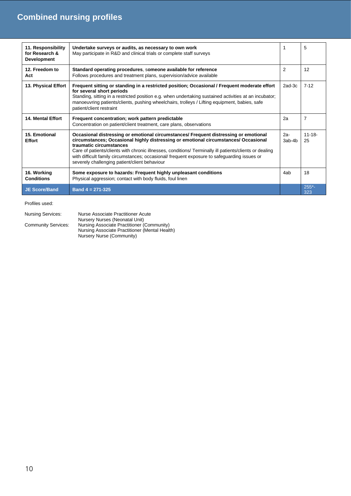| 11. Responsibility<br>for Research &<br><b>Development</b> | Undertake surveys or audits, as necessary to own work<br>May participate in R&D and clinical trials or complete staff surveys                                                                                                                                                                                                                                                                                                                                      | 1               | 5                 |
|------------------------------------------------------------|--------------------------------------------------------------------------------------------------------------------------------------------------------------------------------------------------------------------------------------------------------------------------------------------------------------------------------------------------------------------------------------------------------------------------------------------------------------------|-----------------|-------------------|
| 12. Freedom to<br>Act                                      | Standard operating procedures, someone available for reference<br>Follows procedures and treatment plans, supervision/advice available                                                                                                                                                                                                                                                                                                                             | 2               | 12                |
| 13. Physical Effort                                        | Frequent sitting or standing in a restricted position; Occasional / Frequent moderate effort<br>for several short periods<br>Standing, sitting in a restricted position e.g. when undertaking sustained activities at an incubator;<br>manoeuvring patients/clients, pushing wheelchairs, trolleys / Lifting equipment, babies, safe<br>patient/client restraint                                                                                                   | $2ad-3c$        | $7 - 12$          |
| <b>14. Mental Effort</b>                                   | Frequent concentration; work pattern predictable<br>Concentration on patient/client treatment, care plans, observations                                                                                                                                                                                                                                                                                                                                            | 2a              | $\overline{7}$    |
| 15. Emotional<br><b>Effort</b>                             | Occasional distressing or emotional circumstances/ Frequent distressing or emotional<br>circumstances; Occasional highly distressing or emotional circumstances/ Occasional<br>traumatic circumstances<br>Care of patients/clients with chronic illnesses, conditions/ Terminally ill patients/clients or dealing<br>with difficult family circumstances; occasional/ frequent exposure to safeguarding issues or<br>severely challenging patient/client behaviour | $2a-$<br>3ab-4b | $11 - 18 -$<br>25 |
| 16. Working<br><b>Conditions</b>                           | Some exposure to hazards: Frequent highly unpleasant conditions<br>Physical aggression; contact with body fluids, foul linen                                                                                                                                                                                                                                                                                                                                       | 4ab             | 18                |
| <b>JE Score/Band</b>                                       | Band $4 = 271 - 325$                                                                                                                                                                                                                                                                                                                                                                                                                                               |                 | $255*$<br>323     |

Profiles used:

Nursing Services: Nurse Associate Practitioner Acute Nursery Nurses (Neonatal Unit) Community Services: Nursing Associate Practitioner (Community) Nursing Associate Practitioner (Mental Health) Nursery Nurse (Community)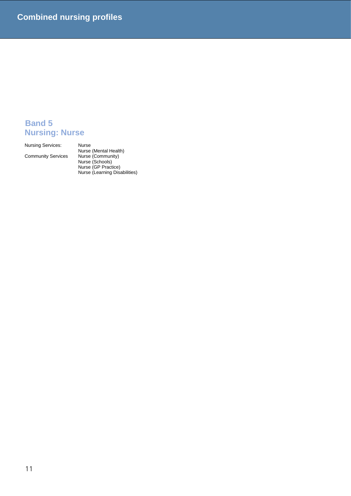## **Band 5 Nursing: Nurse**

Nursing Services:

Community Services

Nurse (Mental Health) Nurse (Schools) Nurse (GP Practice) Nurse (Learning Disabilities)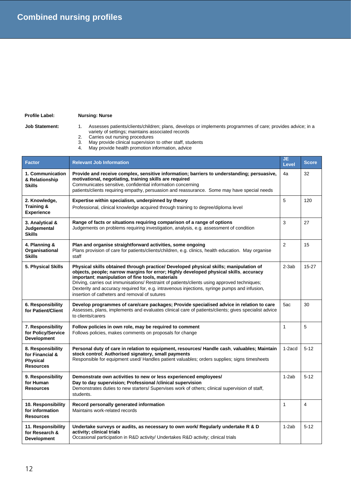### **Profile Label: Nursing: Nurse**

- Job Statement: 1. Assesses patients/clients/children; plans, develops or implements programmes of care; provides advice; in a variety of settings; maintains associated records
	- 2. Carries out nursing procedures
	- 3. May provide clinical supervision to other staff, students
	- 4. May provide health promotion information, advice

| <b>Factor</b>                                                               | <b>Relevant Job Information</b>                                                                                                                                                                                                                                                                                                                                                                                                                                                      | JE.<br>Level   | <b>Score</b>            |
|-----------------------------------------------------------------------------|--------------------------------------------------------------------------------------------------------------------------------------------------------------------------------------------------------------------------------------------------------------------------------------------------------------------------------------------------------------------------------------------------------------------------------------------------------------------------------------|----------------|-------------------------|
| 1. Communication<br>& Relationship<br><b>Skills</b>                         | Provide and receive complex, sensitive information; barriers to understanding; persuasive,<br>motivational, negotiating, training skills are required<br>Communicates sensitive, confidential information concerning<br>patients/clients requiring empathy, persuasion and reassurance. Some may have special needs                                                                                                                                                                  | 4a             | 32                      |
| 2. Knowledge,<br>Training &<br><b>Experience</b>                            | Expertise within specialism, underpinned by theory<br>Professional, clinical knowledge acquired through training to degree/diploma level                                                                                                                                                                                                                                                                                                                                             | 5              | 120                     |
| 3. Analytical &<br>Judgemental<br><b>Skills</b>                             | Range of facts or situations requiring comparison of a range of options<br>Judgements on problems requiring investigation, analysis, e.g. assessment of condition                                                                                                                                                                                                                                                                                                                    | 3              | 27                      |
| 4. Planning &<br>Organisational<br><b>Skills</b>                            | Plan and organise straightforward activities, some ongoing<br>Plans provision of care for patients/clients/children, e.g. clinics, health education. May organise<br>staff                                                                                                                                                                                                                                                                                                           | $\overline{2}$ | 15                      |
| 5. Physical Skills                                                          | Physical skills obtained through practice/ Developed physical skills; manipulation of<br>objects, people; narrow margins for error; Highly developed physical skills, accuracy<br>important; manipulation of fine tools, materials<br>Driving, carries out immunisations/ Restraint of patients/clients using approved techniques;<br>Dexterity and accuracy required for, e.g. intravenous injections, syringe pumps and infusion,<br>insertion of catheters and removal of sutures | $2-3ab$        | $15 - 27$               |
| 6. Responsibility<br>for Patient/Client                                     | Develop programmes of care/care packages; Provide specialised advice in relation to care<br>Assesses, plans, implements and evaluates clinical care of patients/clients; gives specialist advice<br>to clients/carers                                                                                                                                                                                                                                                                | 5ac            | 30                      |
| 7. Responsibility<br>for Policy/Service<br><b>Development</b>               | Follow policies in own role, may be required to comment<br>Follows policies, makes comments on proposals for change                                                                                                                                                                                                                                                                                                                                                                  | $\mathbf{1}$   | 5                       |
| 8. Responsibility<br>for Financial &<br><b>Physical</b><br><b>Resources</b> | Personal duty of care in relation to equipment, resources/ Handle cash, valuables; Maintain<br>stock control; Authorised signatory, small payments<br>Responsible for equipment used/ Handles patient valuables; orders supplies; signs timesheets                                                                                                                                                                                                                                   | 1-2acd         | $5 - 12$                |
| 9. Responsibility<br>for Human<br><b>Resources</b>                          | Demonstrate own activities to new or less experienced employees/<br>Day to day supervision; Professional /clinical supervision<br>Demonstrates duties to new starters/ Supervises work of others; clinical supervision of staff,<br>students.                                                                                                                                                                                                                                        | $1-2ab$        | $5 - 12$                |
| 10. Responsibility<br>for information<br><b>Resources</b>                   | Record personally generated information<br>Maintains work-related records                                                                                                                                                                                                                                                                                                                                                                                                            | $\mathbf{1}$   | $\overline{\mathbf{4}}$ |
| 11. Responsibility<br>for Research &<br><b>Development</b>                  | Undertake surveys or audits, as necessary to own work/ Regularly undertake R & D<br>activity; clinical trials<br>Occasional participation in R&D activity/ Undertakes R&D activity; clinical trials                                                                                                                                                                                                                                                                                  | $1-2ab$        | $5 - 12$                |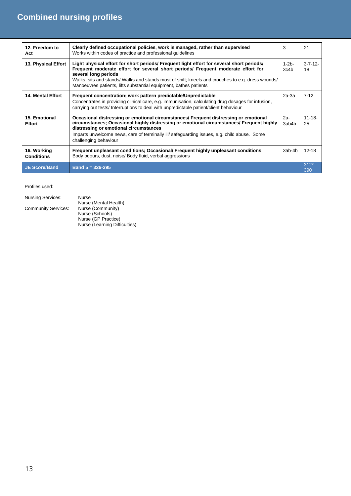| 12. Freedom to<br>Act            | Clearly defined occupational policies, work is managed, rather than supervised<br>Works within codes of practice and professional guidelines                                                                                                                                                                                                                                    | 3                  | 21                 |
|----------------------------------|---------------------------------------------------------------------------------------------------------------------------------------------------------------------------------------------------------------------------------------------------------------------------------------------------------------------------------------------------------------------------------|--------------------|--------------------|
| 13. Physical Effort              | Light physical effort for short periods/ Frequent light effort for several short periods/<br>Frequent moderate effort for several short periods/ Frequent moderate effort for<br>several long periods<br>Walks, sits and stands/ Walks and stands most of shift; kneels and crouches to e.g. dress wounds/<br>Manoeuvres patients, lifts substantial equipment, bathes patients | $1 - 2b -$<br>3c4b | $3 - 7 - 12$<br>18 |
| <b>14. Mental Effort</b>         | Frequent concentration; work pattern predictable/Unpredictable<br>Concentrates in providing clinical care, e.g. immunisation, calculating drug dosages for infusion,<br>carrying out tests/ Interruptions to deal with unpredictable patient/client behaviour                                                                                                                   | $2a-3a$            | $7-12$             |
| 15. Emotional<br><b>Effort</b>   | Occasional distressing or emotional circumstances/ Frequent distressing or emotional<br>circumstances; Occasional highly distressing or emotional circumstances/ Frequent highly<br>distressing or emotional circumstances<br>Imparts unwelcome news, care of terminally ill safeguarding issues, e.g. child abuse. Some<br>challenging behaviour                               | $2a-$<br>3ab4b     | $11 - 18 -$<br>25  |
| 16. Working<br><b>Conditions</b> | Frequent unpleasant conditions; Occasional/ Frequent highly unpleasant conditions<br>Body odours, dust, noise/ Body fluid, verbal aggressions                                                                                                                                                                                                                                   | 3ab-4b             | $12 - 18$          |
| <b>JE Score/Band</b>             | Band $5 = 326 - 395$                                                                                                                                                                                                                                                                                                                                                            |                    | $312^{*}$ -<br>390 |

| <b>Nursing Services:</b>   | Nurse                         |
|----------------------------|-------------------------------|
|                            | Nurse (Mental Health)         |
| <b>Community Services:</b> | Nurse (Community)             |
|                            | Nurse (Schools)               |
|                            | Nurse (GP Practice)           |
|                            | Nurse (Learning Difficulties) |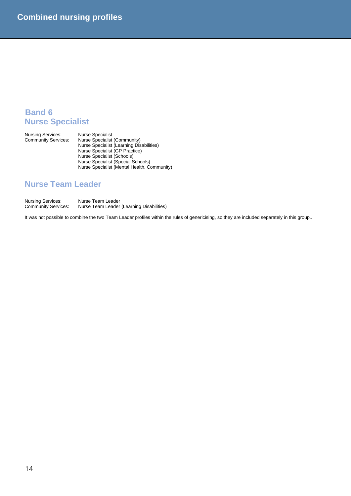## **Band 6 Nurse Specialist**

Nursing Services:<br>Community Services:

Community Services: Nurse Specialist (Community) Nurse Specialist (Learning Disabilities) Nurse Specialist (GP Practice) Nurse Specialist (Schools) Nurse Specialist (Special Schools) Nurse Specialist (Mental Health, Community)

## **Nurse Team Leader**

Nursing Services: Nurse Team Leader<br>Community Services: Nurse Team Leader Nurse Team Leader (Learning Disabilities)

It was not possible to combine the two Team Leader profiles within the rules of genericising, so they are included separately in this group..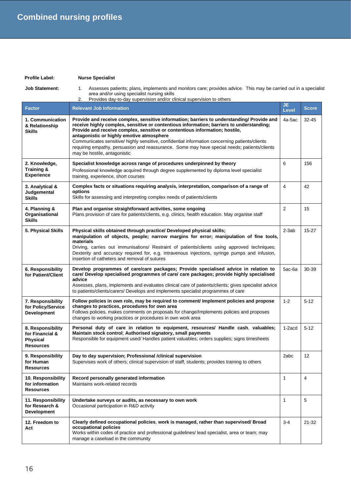### **Profile Label: Nurse Specialist**

**Job Statement:** 1. Assesses patients; plans, implements and monitors care; provides advice. This may be carried out in a specialist area and/or using specialist nursing skills

|                                                                             | Provides day-to-day supervision and/or clinical supervision to others<br>2.                                                                                                                                                                                                                                                                                                                                                                                                                                                                          |                     |              |
|-----------------------------------------------------------------------------|------------------------------------------------------------------------------------------------------------------------------------------------------------------------------------------------------------------------------------------------------------------------------------------------------------------------------------------------------------------------------------------------------------------------------------------------------------------------------------------------------------------------------------------------------|---------------------|--------------|
| <b>Factor</b>                                                               | <b>Relevant Job Information</b>                                                                                                                                                                                                                                                                                                                                                                                                                                                                                                                      | JE.<br><b>Level</b> | <b>Score</b> |
| 1. Communication<br>& Relationship<br><b>Skills</b>                         | Provide and receive complex, sensitive information; barriers to understanding/ Provide and<br>receive highly complex, sensitive or contentious information; barriers to understanding;<br>Provide and receive complex, sensitive or contentious information; hostile,<br>antagonistic or highly emotive atmosphere<br>Communicates sensitive/ highly sensitive, confidential information concerning patients/clients<br>requiring empathy, persuasion and reassurance. Some may have special needs; patients/clients<br>may be hostile, antagonistic | 4a-5ac              | $32 - 45$    |
| 2. Knowledge,<br><b>Training &amp;</b><br><b>Experience</b>                 | Specialist knowledge across range of procedures underpinned by theory<br>Professional knowledge acquired through degree supplemented by diploma level specialist<br>training, experience, short courses                                                                                                                                                                                                                                                                                                                                              | 6                   | 156          |
| 3. Analytical &<br>Judgemental<br><b>Skills</b>                             | Complex facts or situations requiring analysis, interpretation, comparison of a range of<br>options<br>Skills for assessing and interpreting complex needs of patients/clients                                                                                                                                                                                                                                                                                                                                                                       | 4                   | 42           |
| 4. Planning &<br>Organisational<br><b>Skills</b>                            | Plan and organise straightforward activities, some ongoing<br>Plans provision of care for patients/clients, e.g. clinics, health education. May organise staff                                                                                                                                                                                                                                                                                                                                                                                       | 2                   | 15           |
| 5. Physical Skills                                                          | Physical skills obtained through practice/ Developed physical skills;<br>manipulation of objects, people; narrow margins for error; manipulation of fine tools,<br>materials<br>Driving, carries out immunisations/ Restraint of patients/clients using approved techniques;<br>Dexterity and accuracy required for, e.g. intravenous injections, syringe pumps and infusion,<br>insertion of catheters and removal of sutures                                                                                                                       | $2-3ab$             | $15 - 27$    |
| 6. Responsibility<br>for Patient/Client                                     | Develop programmes of care/care packages; Provide specialised advice in relation to<br>care/ Develop specialised programmes of care/ care packages; provide highly specialised<br>advice<br>Assesses, plans, implements and evaluates clinical care of patients/clients; gives specialist advice<br>to patients/clients/carers/ Develops and implements specialist programmes of care                                                                                                                                                                | 5ac-6a              | 30-39        |
| 7. Responsibility<br>for Policy/Service<br><b>Development</b>               | Follow policies in own role, may be required to comment/ Implement policies and propose<br>changes to practices, procedures for own area<br>Follows policies, makes comments on proposals for change/Implements policies and proposes<br>changes to working practices or procedures in own work area                                                                                                                                                                                                                                                 | $1 - 2$             | $5 - 12$     |
| 8. Responsibility<br>for Financial &<br><b>Physical</b><br><b>Resources</b> | Personal duty of care in relation to equipment, resources/ Handle cash, valuables;<br>Maintain stock control; Authorised signatory, small payments<br>Responsible for equipment used/ Handles patient valuables; orders supplies; signs timesheets                                                                                                                                                                                                                                                                                                   | 1-2acd              | $5 - 12$     |
| 9. Responsibility<br>for Human<br><b>Resources</b>                          | Day to day supervision; Professional /clinical supervision<br>Supervises work of others; clinical supervision of staff, students; provides training to others                                                                                                                                                                                                                                                                                                                                                                                        | 2abc                | 12           |
| 10. Responsibility<br>for information<br><b>Resources</b>                   | Record personally generated information<br>Maintains work-related records                                                                                                                                                                                                                                                                                                                                                                                                                                                                            | 1                   | 4            |
| 11. Responsibility<br>for Research &<br><b>Development</b>                  | Undertake surveys or audits, as necessary to own work<br>Occasional participation in R&D activity                                                                                                                                                                                                                                                                                                                                                                                                                                                    | 1                   | 5            |
| 12. Freedom to<br>Act                                                       | Clearly defined occupational policies, work is managed, rather than supervised/ Broad<br>occupational policies<br>Works within codes of practice and professional guidelines/ lead specialist, area or team; may<br>manage a caseload in the community                                                                                                                                                                                                                                                                                               | $3-4$               | $21 - 32$    |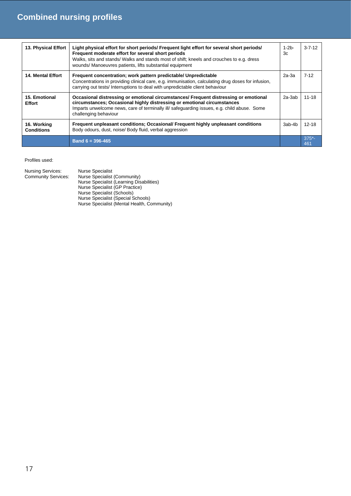| 13. Physical Effort              | Light physical effort for short periods/ Frequent light effort for several short periods/<br>Frequent moderate effort for several short periods<br>Walks, sits and stands/ Walks and stands most of shift; kneels and crouches to e.g. dress<br>wounds/ Manoeuvres patients, lifts substantial equipment | $1-2b$<br>3c | $3 - 7 - 12$   |
|----------------------------------|----------------------------------------------------------------------------------------------------------------------------------------------------------------------------------------------------------------------------------------------------------------------------------------------------------|--------------|----------------|
| <b>14. Mental Effort</b>         | Frequent concentration; work pattern predictable/ Unpredictable<br>Concentrations in providing clinical care, e.g. immunisation, calculating drug doses for infusion,<br>carrying out tests/ Interruptions to deal with unpredictable client behaviour                                                   | $2a-3a$      | $7-12$         |
| 15. Emotional<br><b>Effort</b>   | Occasional distressing or emotional circumstances/ Frequent distressing or emotional<br>circumstances; Occasional highly distressing or emotional circumstances<br>Imparts unwelcome news, care of terminally ill safeguarding issues, e.g. child abuse. Some<br>challenging behaviour                   | $2a-3ab$     | $11 - 18$      |
| 16. Working<br><b>Conditions</b> | Frequent unpleasant conditions; Occasional/ Frequent highly unpleasant conditions<br>Body odours, dust, noise/ Body fluid, verbal aggression                                                                                                                                                             | 3ab-4b       | $12 - 18$      |
|                                  | Band $6 = 396 - 465$                                                                                                                                                                                                                                                                                     |              | $375^*$<br>461 |

| Nursing Services:<br><b>Community Services:</b> | <b>Nurse Specialist</b><br>Nurse Specialist (Community)<br>Nurse Specialist (Learning Disabilities)<br>Nurse Specialist (GP Practice)<br>Nurse Specialist (Schools)<br>Nurse Specialist (Special Schools)<br>Nurse Specialist (Mental Health, Community) |
|-------------------------------------------------|----------------------------------------------------------------------------------------------------------------------------------------------------------------------------------------------------------------------------------------------------------|
|-------------------------------------------------|----------------------------------------------------------------------------------------------------------------------------------------------------------------------------------------------------------------------------------------------------------|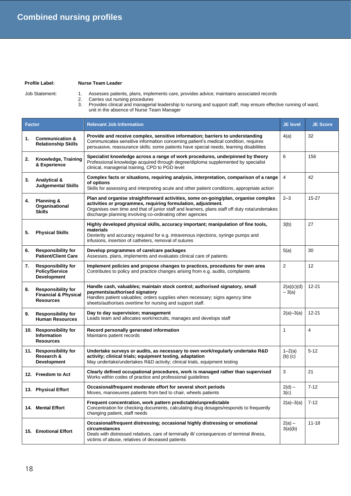### **Profile Label: Nurse Team Leader**

- Job Statement: 1. Assesses patients, plans, implements care, provides advice; maintains associated records 2. Carries out nursing procedures
	- 3. Provides clinical and managerial leadership to nursing and support staff, may ensure effective running of ward, unit in the absence of Nurse Team Manager

| <b>Factor</b> |                                                                                  | <b>Relevant Job Information</b>                                                                                                                                                                                                                                                                                   | <b>JE level</b>           | <b>JE Score</b> |
|---------------|----------------------------------------------------------------------------------|-------------------------------------------------------------------------------------------------------------------------------------------------------------------------------------------------------------------------------------------------------------------------------------------------------------------|---------------------------|-----------------|
| 1.            | <b>Communication &amp;</b><br><b>Relationship Skills</b>                         | Provide and receive complex, sensitive information; barriers to understanding<br>Communicates sensitive information concerning patient's medical condition, requires<br>persuasive, reassurance skills; some patients have special needs, learning disabilities                                                   | 4(a)                      | 32              |
| 2.            | Knowledge, Training<br>& Experience                                              | Specialist knowledge across a range of work procedures, underpinned by theory<br>Professional knowledge acquired through degree/diploma supplemented by specialist<br>clinical, managerial training, CPD to PGD level                                                                                             | 6                         | 156             |
| 3.            | Analytical &<br><b>Judgemental Skills</b>                                        | Complex facts or situations, requiring analysis, interpretation, comparison of a range<br>of options<br>Skills for assessing and interpreting acute and other patient conditions, appropriate action                                                                                                              | 4                         | 42              |
| 4.            | Planning &<br>Organisational<br><b>Skills</b>                                    | Plan and organise straightforward activities, some on-going/plan, organise complex<br>activities or programmes, requiring formulation, adjustment.<br>Organises own time and that of junior staff and learners, plans staff off duty rota/undertakes<br>discharge planning involving co-ordinating other agencies | $2 - 3$                   | $15 - 27$       |
| 5.            | <b>Physical Skills</b>                                                           | Highly developed physical skills, accuracy important; manipulation of fine tools,<br>materials<br>Dexterity and accuracy required for e.g. intravenous injections, syringe pumps and<br>infusions, insertion of catheters, removal of sutures                                                                     | 3(b)                      | 27              |
| 6.            | <b>Responsibility for</b><br><b>Patient/Client Care</b>                          | Develop programmes of care/care packages<br>Assesses, plans, implements and evaluates clinical care of patients                                                                                                                                                                                                   | 5(a)                      | 30              |
| 7.            | <b>Responsibility for</b><br><b>Policy/Service</b><br><b>Development</b>         | Implement policies and propose changes to practices, procedures for own area<br>Contributes to policy and practice changes arising from e.g. audits, complaints                                                                                                                                                   | $\overline{2}$            | 12              |
| 8.            | <b>Responsibility for</b><br><b>Financial &amp; Physical</b><br><b>Resources</b> | Handle cash, valuables; maintain stock control; authorised signatory, small<br>payments/authorised signatory<br>Handles patient valuables; orders supplies when necessary; signs agency time<br>sheets/authorises overtime for nursing and support staff.                                                         | 2(a)(c)(d)<br>$-3(a)$     | $12 - 21$       |
| 9.            | <b>Responsibility for</b><br><b>Human Resources</b>                              | Day to day supervision; management<br>Leads team and allocates work/recruits, manages and develops staff                                                                                                                                                                                                          | $2(a)-3(a)$               | $12 - 21$       |
|               | 10. Responsibility for<br><b>Information</b><br><b>Resources</b>                 | Record personally generated information<br>Maintains patient records                                                                                                                                                                                                                                              | $\mathbf{1}$              | $\overline{4}$  |
|               | 11. Responsibility for<br>Research &<br>Development                              | Undertake surveys or audits, as necessary to own work/regularly undertake R&D<br>activity; clinical trials; equipment testing, adaptation<br>May undertake/undertakes R&D activity; clinical trials, equipment testing                                                                                            | $1 - 2(a)$<br>$(b)$ $(c)$ | $5 - 12$        |
|               | 12. Freedom to Act                                                               | Clearly defined occupational procedures, work is managed rather than supervised<br>Works within codes of practice and professional guidelines                                                                                                                                                                     | 3                         | 21              |
|               | 13. Physical Effort                                                              | Occasional/frequent moderate effort for several short periods<br>Moves, manoeuvres patients from bed to chair, wheels patients                                                                                                                                                                                    | $2(d) -$<br>3(c)          | $7 - 12$        |
|               | 14. Mental Effort                                                                | Frequent concentration, work pattern predictable/unpredictable<br>Concentration for checking documents, calculating drug dosages/responds to frequently<br>changing patient, staff needs                                                                                                                          | $2(a)-3(a)$               | $7 - 12$        |
|               | 15. Emotional Effort                                                             | Occasional/frequent distressing; occasional highly distressing or emotional<br>circumstances<br>Deals with distressed relatives, care of terminally ill/ consequences of terminal illness,<br>victims of abuse, relatives of deceased patients                                                                    | $2(a) -$<br>3(a)(b)       | $11 - 18$       |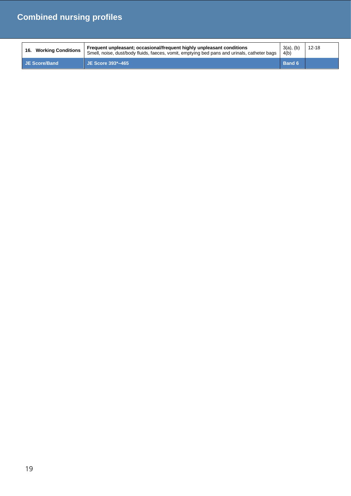| <b>Working Conditions</b><br>16. | Frequent unpleasant; occasional/frequent highly unpleasant conditions<br>Smell, noise, dust/body fluids, faeces, vomit, emptying bed pans and urinals, catheter bags | $3(a)$ , (b)<br>4(b) | $12 - 18$ |
|----------------------------------|----------------------------------------------------------------------------------------------------------------------------------------------------------------------|----------------------|-----------|
| JE Score/Band                    | JE Score 393*-465                                                                                                                                                    | <b>Band 6</b>        |           |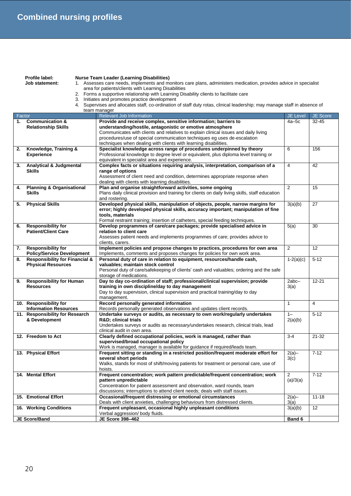|        | <b>Nurse Team Leader (Learning Disabilities)</b><br>Profile label:<br>1. Assesses care needs, implements and monitors care plans, administers medication, provides advice in specialist<br>Job statement: |                                                                                                                                                                  |                  |           |
|--------|-----------------------------------------------------------------------------------------------------------------------------------------------------------------------------------------------------------|------------------------------------------------------------------------------------------------------------------------------------------------------------------|------------------|-----------|
|        | area for patients/clients with Learning Disabilities<br>2. Forms a supportive relationship with Learning Disability clients to facilitate care                                                            |                                                                                                                                                                  |                  |           |
|        |                                                                                                                                                                                                           | 3. Initiates and promotes practice development                                                                                                                   |                  |           |
|        |                                                                                                                                                                                                           | 4. Supervises and allocates staff, co-ordination of staff duty rotas, clinical leadership; may manage staff in absence of                                        |                  |           |
|        |                                                                                                                                                                                                           | team manager                                                                                                                                                     |                  |           |
| Factor |                                                                                                                                                                                                           | Relevant Job Information                                                                                                                                         | <b>JE Level</b>  | JE Score  |
| 1.     | <b>Communication &amp;</b>                                                                                                                                                                                | Provide and receive complex, sensitive information; barriers to                                                                                                  | $4a-5c$          | $32 - 45$ |
|        | <b>Relationship Skills</b>                                                                                                                                                                                | understanding/hostile, antagonistic or emotive atmosphere                                                                                                        |                  |           |
|        |                                                                                                                                                                                                           | Communicates with clients and relatives to explain clinical issues and daily living<br>procedures/use of special communication techniques eg uses de-escalation  |                  |           |
|        |                                                                                                                                                                                                           | techniques when dealing with clients with learning disabilities.                                                                                                 |                  |           |
| 2.     | Knowledge, Training &                                                                                                                                                                                     | Specialist knowledge across range of procedures underpinned by theory                                                                                            | 6                | 156       |
|        | <b>Experience</b>                                                                                                                                                                                         | Professional knowledge to degree level or equivalent, plus diploma level training or                                                                             |                  |           |
|        |                                                                                                                                                                                                           | equivalent in specialist area and experience.                                                                                                                    |                  |           |
| 3.     | <b>Analytical &amp; Judgmental</b>                                                                                                                                                                        | Complex facts or situations requiring analysis, interpretation, comparison of a                                                                                  | 4                | 42        |
|        | <b>Skills</b>                                                                                                                                                                                             | range of options                                                                                                                                                 |                  |           |
|        |                                                                                                                                                                                                           | Assessment of client need and condition, determines appropriate response when                                                                                    |                  |           |
| 4.     | <b>Planning &amp; Organisational</b>                                                                                                                                                                      | dealing with clients with learning disabilities.<br>Plan and organise straightforward activities, some ongoing                                                   | 2                | 15        |
|        | <b>Skills</b>                                                                                                                                                                                             | Plans daily clinical provision and training for clients on daily living skills, staff education                                                                  |                  |           |
|        |                                                                                                                                                                                                           | and rostering.                                                                                                                                                   |                  |           |
| 5.     | <b>Physical Skills</b>                                                                                                                                                                                    | Developed physical skills, manipulation of objects, people, narrow margins for                                                                                   | 3(a)(b)          | 27        |
|        |                                                                                                                                                                                                           | error; highly developed physical skills, accuracy important; manipulation of fine                                                                                |                  |           |
|        |                                                                                                                                                                                                           | tools, materials                                                                                                                                                 |                  |           |
|        |                                                                                                                                                                                                           | Formal restraint training; insertion of catheters, special feeding techniques.                                                                                   |                  |           |
| 6.     | <b>Responsibility for</b><br><b>Patient/Client Care</b>                                                                                                                                                   | Develop programmes of care/care packages; provide specialised advice in<br>relation to client care                                                               | 5(a)             | 30        |
|        |                                                                                                                                                                                                           | Assesses patient needs and implements programmes of care; provides advice to                                                                                     |                  |           |
|        |                                                                                                                                                                                                           | clients, carers.                                                                                                                                                 |                  |           |
| 7.     | <b>Responsibility for</b>                                                                                                                                                                                 | Implement policies and propose changes to practices, procedures for own area                                                                                     | 2                | 12        |
|        | <b>Policy/Service Development</b>                                                                                                                                                                         | Implements, comments and proposes changes for policies for own work area.                                                                                        |                  |           |
| 8.     | <b>Responsibility for Financial &amp;</b>                                                                                                                                                                 | Personal duty of care in relation to equipment, resources/handle cash,                                                                                           | $1-2(a)(c)$      | $5 - 12$  |
|        | <b>Physical Resources</b>                                                                                                                                                                                 | valuables; maintain stock control                                                                                                                                |                  |           |
|        |                                                                                                                                                                                                           | Personal duty of care/safekeeping of clients' cash and valuables; ordering and the safe<br>storage of medications.                                               |                  |           |
| 9.     | <b>Responsibility for Human</b>                                                                                                                                                                           | Day to day co-ordination of staff; professional/clinical supervision; provide                                                                                    | 2abc-            | $12 - 21$ |
|        | <b>Resources</b>                                                                                                                                                                                          | training in own discipline/day to day management                                                                                                                 | 3(a)             |           |
|        |                                                                                                                                                                                                           | Day to day supervision, clinical supervision and practical training/day to day                                                                                   |                  |           |
|        |                                                                                                                                                                                                           | management.                                                                                                                                                      |                  |           |
|        | 10. Responsibility for                                                                                                                                                                                    | Record personally generated information                                                                                                                          | 1                | 4         |
|        | <b>Information Resources</b><br>11. Responsibility for Research                                                                                                                                           | Records personally generated observations and updates client records.<br>Undertake surveys or audits, as necessary to own work/regularly undertakes              | $1 -$            | $5 - 12$  |
|        | & Development                                                                                                                                                                                             | <b>R&amp;D</b> ; clinical trials                                                                                                                                 | 2(a)(b)          |           |
|        |                                                                                                                                                                                                           | Undertakes surveys or audits as necessary/undertakes research, clinical trials, lead                                                                             |                  |           |
|        |                                                                                                                                                                                                           | clinical audit in own area.                                                                                                                                      |                  |           |
|        | 12. Freedom to Act                                                                                                                                                                                        | Clearly defined occupational policies, work is managed, rather than                                                                                              | $3 - 4$          | 21-32     |
|        |                                                                                                                                                                                                           | supervised/broad occupational policy                                                                                                                             |                  |           |
|        |                                                                                                                                                                                                           | Work is managed, manager is available for guidance if required/leads team.<br>Frequent sitting or standing in a restricted position/frequent moderate effort for |                  |           |
|        | 13. Physical Effort                                                                                                                                                                                       | several short periods                                                                                                                                            | $2(a)$ -<br>3(c) | $7 - 12$  |
|        |                                                                                                                                                                                                           | Walks, stands for most of shift/moving patients for treatment or personal care, use of                                                                           |                  |           |
|        |                                                                                                                                                                                                           | hoists.                                                                                                                                                          |                  |           |
|        | 14. Mental Effort                                                                                                                                                                                         | Frequent concentration; work pattern predictable/frequent concentration; work                                                                                    | $\overline{2}$   | $7 - 12$  |
|        |                                                                                                                                                                                                           | pattern unpredictable                                                                                                                                            | (a)/3(a)         |           |
|        |                                                                                                                                                                                                           | Concentration for patient assessment and observation, ward rounds, team                                                                                          |                  |           |
|        |                                                                                                                                                                                                           | discussions; interruptions to attend client needs; deals with staff issues.                                                                                      |                  |           |
|        | 15. Emotional Effort                                                                                                                                                                                      | Occasional/frequent distressing or emotional circumstances<br>Deals with client anxieties, challenging behaviours from distressed clients.                       | $2(a)$ -<br>3(a) | $11 - 18$ |
|        | 16. Working Conditions                                                                                                                                                                                    | Frequent unpleasant, occasional highly unpleasant conditions                                                                                                     | 3(a)(b)          | 12        |
|        |                                                                                                                                                                                                           | Verbal aggression/body fluids.                                                                                                                                   |                  |           |
|        | JE Score/Band                                                                                                                                                                                             | JE Score 398-462                                                                                                                                                 | Band 6           |           |
|        |                                                                                                                                                                                                           |                                                                                                                                                                  |                  |           |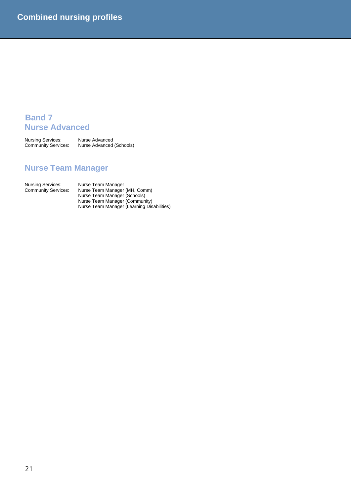## **Band 7 Nurse Advanced**

Nursing Services: Nurse Advanced<br>Community Services: Nurse Advanced Nurse Advanced (Schools)

## **Nurse Team Manager**

Nursing Services: Nurse Team Manager

Community Services: Nurse Team Manager (MH, Comm) Nurse Team Manager (Schools) Nurse Team Manager (Community) Nurse Team Manager (Learning Disabilities)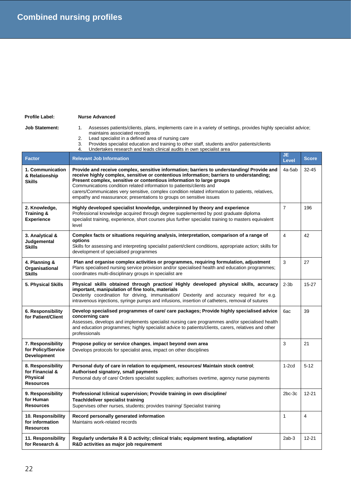### **Profile Label: Nurse Advanced**

- Job Statement: 1. Assesses patients/clients, plans, implements care in a variety of settings, provides highly specialist advice; maintains associated records
	- 2. Lead specialist in a defined area of nursing care<br>3. Provides specialist education and training to other
	- 3. Provides specialist education and training to other staff, students and/or patients/clients
		- Undertakes research and leads clinical audits in own specialist area

| <b>Factor</b>                                                               | <b>Relevant Job Information</b>                                                                                                                                                                                                                                                                                                                                                                                                                                                                                     | JE.<br><b>Level</b> | <b>Score</b>   |
|-----------------------------------------------------------------------------|---------------------------------------------------------------------------------------------------------------------------------------------------------------------------------------------------------------------------------------------------------------------------------------------------------------------------------------------------------------------------------------------------------------------------------------------------------------------------------------------------------------------|---------------------|----------------|
| 1. Communication<br>& Relationship<br><b>Skills</b>                         | Provide and receive complex, sensitive information; barriers to understanding/Provide and<br>receive highly complex, sensitive or contentious information; barriers to understanding;<br>Present complex, sensitive or contentious information to large groups<br>Communications condition related information to patients/clients and<br>carers/Communicates very sensitive, complex condition related information to patients, relatives,<br>empathy and reassurance; presentations to groups on sensitive issues | 4a-5ab              | $32 - 45$      |
| 2. Knowledge,<br>Training &<br><b>Experience</b>                            | Highly developed specialist knowledge, underpinned by theory and experience<br>Professional knowledge acquired through degree supplemented by post graduate diploma<br>specialist training, experience, short courses plus further specialist training to masters equivalent<br>level                                                                                                                                                                                                                               | $\overline{7}$      | 196            |
| 3. Analytical &<br>Judgemental<br><b>Skills</b>                             | Complex facts or situations requiring analysis, interpretation, comparison of a range of<br>options<br>Skills for assessing and interpreting specialist patient/client conditions, appropriate action; skills for<br>development of specialised programmes                                                                                                                                                                                                                                                          | $\overline{4}$      | 42             |
| 4. Planning &<br>Organisational<br><b>Skills</b>                            | Plan and organise complex activities or programmes, requiring formulation, adjustment<br>Plans specialised nursing service provision and/or specialised health and education programmes;<br>coordinates multi-disciplinary groups in specialist are                                                                                                                                                                                                                                                                 |                     | 27             |
| 5. Physical Skills                                                          | Physical skills obtained through practice/ Highly developed physical skills, accuracy<br>important, manipulation of fine tools, materials<br>Dexterity coordination for driving, immunisation/ Dexterity and accuracy required for e.g.<br>intravenous injections, syringe pumps and infusions, insertion of catheters, removal of sutures                                                                                                                                                                          | $2-3b$              | $15 - 27$      |
| 6. Responsibility<br>for Patient/Client                                     | Develop specialised programmes of care/ care packages; Provide highly specialised advice<br>concerning care<br>Assesses, develops and implements specialist nursing care programmes and/or specialised health<br>and education programmes; highly specialist advice to patients/clients, carers, relatives and other<br>professionals                                                                                                                                                                               | 6ac                 | 39             |
| 7. Responsibility<br>for Policy/Service<br><b>Development</b>               | Propose policy or service changes, impact beyond own area<br>Develops protocols for specialist area, impact on other disciplines                                                                                                                                                                                                                                                                                                                                                                                    | 3                   | 21             |
| 8. Responsibility<br>for Financial &<br><b>Physical</b><br><b>Resources</b> | Personal duty of care in relation to equipment, resources/ Maintain stock control;<br>Authorised signatory, small payments<br>Personal duty of care/ Orders specialist supplies; authorises overtime, agency nurse payments                                                                                                                                                                                                                                                                                         | $1-2cd$             | $5-12$         |
| 9. Responsibility<br>for Human<br><b>Resources</b>                          | Professional /clinical supervision; Provide training in own discipline/<br>Teach/deliver specialist training<br>Supervises other nurses, students; provides training/ Specialist training                                                                                                                                                                                                                                                                                                                           | $2bc-3c$            | $12 - 21$      |
| 10. Responsibility<br>for information<br><b>Resources</b>                   | Record personally generated information<br>Maintains work-related records                                                                                                                                                                                                                                                                                                                                                                                                                                           | $\mathbf{1}$        | $\overline{4}$ |
| 11. Responsibility<br>for Research &                                        | Regularly undertake R & D activity; clinical trials; equipment testing, adaptation/<br>R&D activities as major job requirement                                                                                                                                                                                                                                                                                                                                                                                      | $2ab-3$             | 12-21          |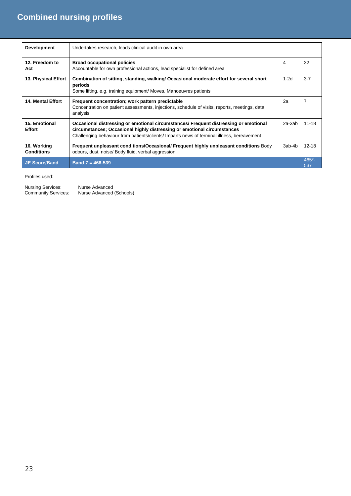| <b>Development</b>               | Undertakes research, leads clinical audit in own area                                                                                                                                                                                                         |          |                |
|----------------------------------|---------------------------------------------------------------------------------------------------------------------------------------------------------------------------------------------------------------------------------------------------------------|----------|----------------|
| 12. Freedom to<br>Act            | <b>Broad occupational policies</b><br>Accountable for own professional actions, lead specialist for defined area                                                                                                                                              | 4        | 32             |
| 13. Physical Effort              | Combination of sitting, standing, walking/Occasional moderate effort for several short<br>periods<br>Some lifting, e.g. training equipment/ Moves. Manoeuvres patients                                                                                        | $1-2d$   | $3 - 7$        |
| <b>14. Mental Effort</b>         | Frequent concentration; work pattern predictable<br>Concentration on patient assessments, injections, schedule of visits, reports, meetings, data<br>analysis                                                                                                 | 2a       | $\overline{7}$ |
| 15. Emotional<br><b>Effort</b>   | Occasional distressing or emotional circumstances/ Frequent distressing or emotional<br>circumstances; Occasional highly distressing or emotional circumstances<br>Challenging behaviour from patients/clients/ Imparts news of terminal illness, bereavement | $2a-3ab$ | $11 - 18$      |
| 16. Working<br><b>Conditions</b> | Frequent unpleasant conditions/Occasional/ Frequent highly unpleasant conditions Body<br>odours, dust, noise/ Body fluid, verbal aggression                                                                                                                   | 3ab-4b   | $12 - 18$      |
| <b>JE Score/Band</b>             | Band $7 = 466 - 539$                                                                                                                                                                                                                                          |          | $465 -$<br>537 |

| Nursing Services:   | Nurse Advanced           |
|---------------------|--------------------------|
| Community Services: | Nurse Advanced (Schools) |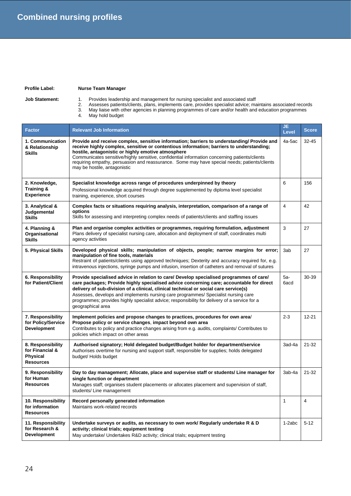## **Profile Label: Nurse Team Manager**

- 
- **Job Statement:** 1. Provides leadership and management for nursing specialist and associated staff
	- 2. Assesses patients/clients, plans, implements care, provides specialist advice; maintains associated records
	- 3. May liaise with other agencies in planning programmes of care and/or health and education programmes 2. Assesses patient<br>3. May liaise with of<br>4. May hold budget
		-

| <b>Factor</b>                                                               | <b>Relevant Job Information</b>                                                                                                                                                                                                                                                                                                                                                                                                                                                         | JE.<br><b>Level</b> | <b>Score</b>   |
|-----------------------------------------------------------------------------|-----------------------------------------------------------------------------------------------------------------------------------------------------------------------------------------------------------------------------------------------------------------------------------------------------------------------------------------------------------------------------------------------------------------------------------------------------------------------------------------|---------------------|----------------|
| 1. Communication<br>& Relationship<br><b>Skills</b>                         | Provide and receive complex, sensitive information; barriers to understanding/ Provide and<br>receive highly complex, sensitive or contentious information; barriers to understanding;<br>hostile, antagonistic or highly emotive atmosphere<br>Communicates sensitive/highly sensitive, confidential information concerning patients/clients<br>requiring empathy, persuasion and reassurance. Some may have special needs; patients/clients<br>may be hostile, antagonistic           | 4a-5ac              | $32 - 45$      |
| 2. Knowledge,<br><b>Training &amp;</b><br><b>Experience</b>                 | Specialist knowledge across range of procedures underpinned by theory<br>Professional knowledge acquired through degree supplemented by diploma level specialist<br>training, experience, short courses                                                                                                                                                                                                                                                                                 |                     | 156            |
| 3. Analytical &<br>Judgemental<br><b>Skills</b>                             | Complex facts or situations requiring analysis, interpretation, comparison of a range of<br>options<br>Skills for assessing and interpreting complex needs of patients/clients and staffing issues                                                                                                                                                                                                                                                                                      | $\overline{4}$      | 42             |
| 4. Planning &<br>Organisational<br><b>Skills</b>                            | Plan and organise complex activities or programmes, requiring formulation, adjustment<br>Plans delivery of specialist nursing care, allocation and deployment of staff, coordinates multi<br>agency activities                                                                                                                                                                                                                                                                          | 3                   | 27             |
| 5. Physical Skills                                                          | Developed physical skills; manipulation of objects, people; narrow margins for error;<br>manipulation of fine tools, materials<br>Restraint of patients/clients using approved techniques; Dexterity and accuracy required for, e.g.<br>intravenous injections, syringe pumps and infusion, insertion of catheters and removal of sutures                                                                                                                                               | 3ab                 | 27             |
| 6. Responsibility<br>for Patient/Client                                     | Provide specialised advice in relation to care/ Develop specialised programmes of care/<br>care packages; Provide highly specialised advice concerning care; accountable for direct<br>delivery of sub-division of a clinical, clinical technical or social care service(s)<br>Assesses, develops and implements nursing care programmes/ Specialist nursing care<br>programmes; provides highly specialist advice; responsibility for delivery of a service for a<br>geographical area | 5a-<br>6acd         | 30-39          |
| 7. Responsibility<br>for Policy/Service<br><b>Development</b>               | Implement policies and propose changes to practices, procedures for own area/<br>Propose policy or service changes, impact beyond own area<br>Contributes to policy and practice changes arising from e.g. audits, complaints/ Contributes to<br>policies which impact on other areas                                                                                                                                                                                                   | $2 - 3$             | $12 - 21$      |
| 8. Responsibility<br>for Financial &<br><b>Physical</b><br><b>Resources</b> | Authorised signatory; Hold delegated budget/Budget holder for department/service<br>Authorises overtime for nursing and support staff, responsible for supplies; holds delegated<br>budget/ Holds budget                                                                                                                                                                                                                                                                                | 3ad-4a              | $21 - 32$      |
| 9. Responsibility<br>for Human<br><b>Resources</b>                          | Day to day management; Allocate, place and supervise staff or students/ Line manager for<br>single function or department<br>Manages staff; organises student placements or allocates placement and supervision of staff,<br>students/ Line management                                                                                                                                                                                                                                  | 3ab-4a              | $21 - 32$      |
| 10. Responsibility<br>for information<br><b>Resources</b>                   | Record personally generated information<br>Maintains work-related records                                                                                                                                                                                                                                                                                                                                                                                                               | $\mathbf{1}$        | $\overline{4}$ |
| 11. Responsibility<br>for Research &<br><b>Development</b>                  | Undertake surveys or audits, as necessary to own work/ Regularly undertake R & D<br>activity; clinical trials; equipment testing<br>May undertake/ Undertakes R&D activity; clinical trials; equipment testing                                                                                                                                                                                                                                                                          | 1-2abc              | $5 - 12$       |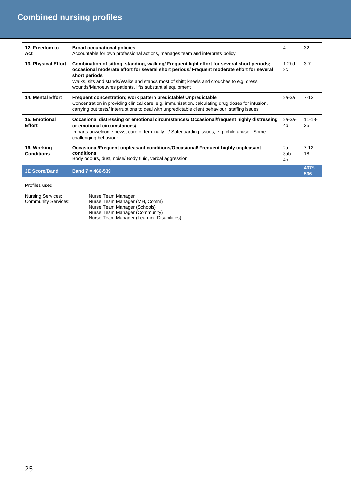| 12. Freedom to<br>Act            | <b>Broad occupational policies</b><br>Accountable for own professional actions, manages team and interprets policy                                                                                                                                                                                                                                                | 4                   | 32                |
|----------------------------------|-------------------------------------------------------------------------------------------------------------------------------------------------------------------------------------------------------------------------------------------------------------------------------------------------------------------------------------------------------------------|---------------------|-------------------|
| 13. Physical Effort              | Combination of sitting, standing, walking/ Frequent light effort for several short periods;<br>occasional moderate effort for several short periods/ Frequent moderate effort for several<br>short periods<br>Walks, sits and stands/Walks and stands most of shift; kneels and crouches to e.g. dress<br>wounds/Manoeuvres patients, lifts substantial equipment | $1-2bd-$<br>3c      | $3 - 7$           |
| <b>14. Mental Effort</b>         | Frequent concentration; work pattern predictable/ Unpredictable<br>Concentration in providing clinical care, e.g. immunisation, calculating drug doses for infusion,<br>carrying out tests/ Interruptions to deal with unpredictable client behaviour, staffing issues                                                                                            | $2a-3a$             | $7-12$            |
| 15. Emotional<br><b>Effort</b>   | Occasional distressing or emotional circumstances/ Occasional/frequent highly distressing<br>or emotional circumstances/<br>Imparts unwelcome news, care of terminally ill/ Safeguarding issues, e.g. child abuse. Some<br>challenging behaviour                                                                                                                  | $2a-3a-$<br>4h      | $11 - 18 -$<br>25 |
| 16. Working<br><b>Conditions</b> | Occasional/Frequent unpleasant conditions/Occasional/ Frequent highly unpleasant<br>conditions<br>Body odours, dust, noise/Body fluid, verbal aggression                                                                                                                                                                                                          | $2a-$<br>3ab-<br>4b | $7 - 12 -$<br>18  |
| <b>JE Score/Band</b>             | Band $7 = 466 - 539$                                                                                                                                                                                                                                                                                                                                              |                     | $437 -$<br>536    |

| Nursing Services:          | Nurse Team Manager                         |
|----------------------------|--------------------------------------------|
| <b>Community Services:</b> | Nurse Team Manager (MH, Comm)              |
|                            | Nurse Team Manager (Schools)               |
|                            | Nurse Team Manager (Community)             |
|                            | Nurse Team Manager (Learning Disabilities) |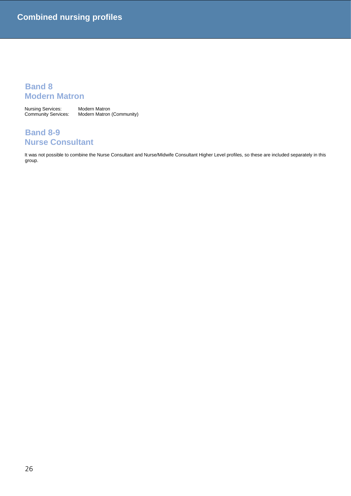## **Band 8 Modern Matron**

Nursing Services: Modern Matron<br>Community Services: Modern Matron Modern Matron (Community)

## **Band 8-9 Nurse Consultant**

It was not possible to combine the Nurse Consultant and Nurse/Midwife Consultant Higher Level profiles, so these are included separately in this group.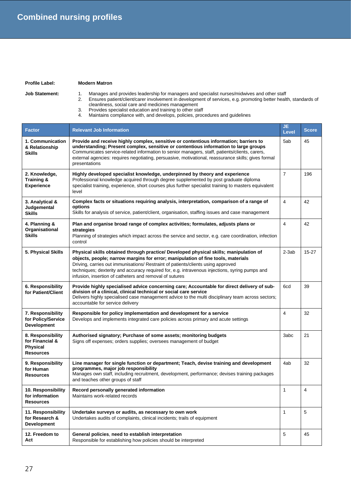| <b>Profile Label:</b> | <b>Modern Matron</b> |
|-----------------------|----------------------|
|                       |                      |

- 
- **Job Statement:** 1. Manages and provides leadership for managers and specialist nurses/midwives and other staff
	- 2. Ensures patient/client/carer involvement in development of services, e.g. promoting better health, standards of cleanliness, social care and medicines management
		- 3. Provides specialist education and training to other staff
		- 4. Maintains compliance with, and develops, policies, procedures and guidelines

| <b>Factor</b>                                                               | <b>Relevant Job Information</b>                                                                                                                                                                                                                                                                                                                                                                                            | JE.<br><b>Level</b> | <b>Score</b> |
|-----------------------------------------------------------------------------|----------------------------------------------------------------------------------------------------------------------------------------------------------------------------------------------------------------------------------------------------------------------------------------------------------------------------------------------------------------------------------------------------------------------------|---------------------|--------------|
| 1. Communication<br>& Relationship<br><b>Skills</b>                         | Provide and receive highly complex, sensitive or contentious information; barriers to<br>understanding; Present complex, sensitive or contentious information to large groups<br>Communicates service-related information to senior managers, staff, patients/clients, carers,<br>external agencies: requires negotiating, persuasive, motivational, reassurance skills; gives formal<br>presentations                     | 5ab                 | 45           |
| 2. Knowledge,<br>Training &<br><b>Experience</b>                            | Highly developed specialist knowledge, underpinned by theory and experience<br>Professional knowledge acquired through degree supplemented by post graduate diploma<br>specialist training, experience, short courses plus further specialist training to masters equivalent<br>level                                                                                                                                      | $\overline{7}$      | 196          |
| 3. Analytical &<br>Judgemental<br><b>Skills</b>                             | Complex facts or situations requiring analysis, interpretation, comparison of a range of<br>options<br>Skills for analysis of service, patient/client, organisation, staffing issues and case management                                                                                                                                                                                                                   | 4                   | 42           |
| 4. Planning &<br>Organisational<br><b>Skills</b>                            | Plan and organise broad range of complex activities; formulates, adjusts plans or<br>strategies<br>Planning of strategies which impact across the service and sector, e.g. care coordination, infection<br>control                                                                                                                                                                                                         | 4                   | 42           |
| 5. Physical Skills                                                          | Physical skills obtained through practice/ Developed physical skills; manipulation of<br>objects, people; narrow margins for error; manipulation of fine tools, materials<br>Driving, carries out immunisations/ Restraint of patients/clients using approved<br>techniques; dexterity and accuracy required for, e.g. intravenous injections, syring pumps and<br>infusion, insertion of catheters and removal of sutures | $2-3ab$             | $15 - 27$    |
| 6. Responsibility<br>for Patient/Client                                     | Provide highly specialised advice concerning care; Accountable for direct delivery of sub-<br>division of a clinical, clinical technical or social care service<br>Delivers highly specialised case management advice to the multi disciplinary team across sectors;<br>accountable for service delivery                                                                                                                   | 6cd                 | 39           |
| 7. Responsibility<br>for Policy/Service<br><b>Development</b>               | Responsible for policy implementation and development for a service<br>Develops and implements integrated care policies across primary and acute settings                                                                                                                                                                                                                                                                  | 4                   | 32           |
| 8. Responsibility<br>for Financial &<br><b>Physical</b><br><b>Resources</b> | Authorised signatory; Purchase of some assets; monitoring budgets<br>Signs off expenses; orders supplies; oversees management of budget                                                                                                                                                                                                                                                                                    | 3abc                | 21           |
| 9. Responsibility<br>for Human<br><b>Resources</b>                          | Line manager for single function or department; Teach, devise training and development<br>programmes, major job responsibility<br>Manages own staff, including recruitment, development, performance; devises training packages<br>and teaches other groups of staff                                                                                                                                                       |                     | 32           |
| 10. Responsibility<br>for information<br><b>Resources</b>                   | Record personally generated information<br>Maintains work-related records                                                                                                                                                                                                                                                                                                                                                  | $\mathbf{1}$        | 4            |
| 11. Responsibility<br>for Research &<br><b>Development</b>                  | Undertake surveys or audits, as necessary to own work<br>Undertakes audits of complaints, clinical incidents; trails of equipment                                                                                                                                                                                                                                                                                          | $\mathbf{1}$        | 5            |
| 12. Freedom to<br>Act                                                       | General policies, need to establish interpretation<br>Responsible for establishing how policies should be interpreted                                                                                                                                                                                                                                                                                                      | 5                   | 45           |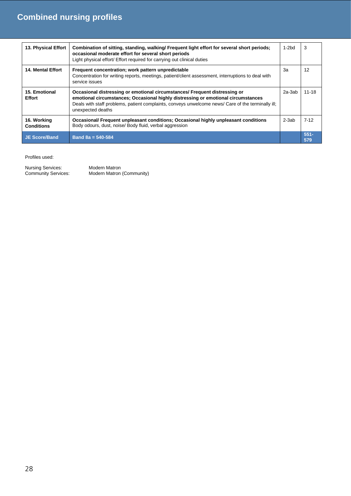| 13. Physical Effort              | Combination of sitting, standing, walking/ Frequent light effort for several short periods;<br>occasional moderate effort for several short periods<br>Light physical effort/ Effort required for carrying out clinical duties                                                             |         | 3              |
|----------------------------------|--------------------------------------------------------------------------------------------------------------------------------------------------------------------------------------------------------------------------------------------------------------------------------------------|---------|----------------|
| <b>14. Mental Effort</b>         | Frequent concentration; work pattern unpredictable<br>Concentration for writing reports, meetings, patient/client assessment, interruptions to deal with<br>service issues                                                                                                                 | 3a      | 12             |
| 15. Emotional<br><b>Effort</b>   | Occasional distressing or emotional circumstances/ Frequent distressing or<br>emotional circumstances; Occasional highly distressing or emotional circumstances<br>Deals with staff problems, patient complaints, conveys unwelcome news/ Care of the terminally ill;<br>unexpected deaths | 2a-3ab  | $11 - 18$      |
| 16. Working<br><b>Conditions</b> | <b>Occasional/ Frequent unpleasant conditions; Occasional highly unpleasant conditions</b><br>Body odours, dust, noise/ Body fluid, verbal aggression                                                                                                                                      | $2-3ab$ | $7-12$         |
| <b>JE Score/Band</b>             | Band $8a = 540 - 584$                                                                                                                                                                                                                                                                      |         | $551 -$<br>579 |

Profiles used:

Nursing Services:<br>Community Services:

Modern Matron<br>Modern Matron (Community)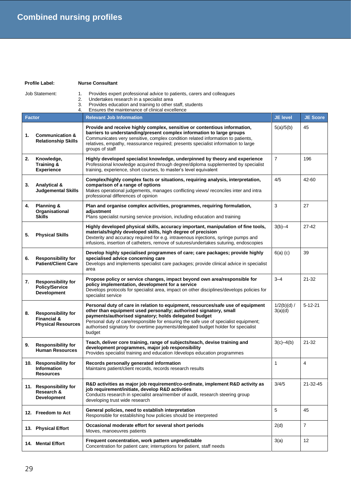**Profile Label: Nurse Consultant**

|               | Provides expert professional advice to patients, carers and colleagues<br><b>Job Statement:</b><br>1.<br>Undertakes research in a specialist area<br>2.<br>Provides education and training to other staff, students<br>3.<br>Ensures the maintenance of clinical excellence<br>4. |                                                                                                                                                                                                                                                                                                                                                                                                      |                          |                 |  |
|---------------|-----------------------------------------------------------------------------------------------------------------------------------------------------------------------------------------------------------------------------------------------------------------------------------|------------------------------------------------------------------------------------------------------------------------------------------------------------------------------------------------------------------------------------------------------------------------------------------------------------------------------------------------------------------------------------------------------|--------------------------|-----------------|--|
| <b>Factor</b> |                                                                                                                                                                                                                                                                                   | <b>Relevant Job Information</b>                                                                                                                                                                                                                                                                                                                                                                      | <b>JE level</b>          | <b>JE Score</b> |  |
| 1.            | <b>Communication &amp;</b><br><b>Relationship Skills</b>                                                                                                                                                                                                                          | Provide and receive highly complex, sensitive or contentious information,<br>barriers to understanding/present complex information to large groups<br>Communicates very sensitive, complex condition related information to patients,<br>relatives, empathy, reassurance required; presents specialist information to large<br>groups of staff                                                       | 5(a)/5(b)                | 45              |  |
| 2.            | Knowledge,<br><b>Training &amp;</b><br><b>Experience</b>                                                                                                                                                                                                                          | Highly developed specialist knowledge, underpinned by theory and experience<br>Professional knowledge acquired through degree/diploma supplemented by specialist<br>training, experience, short courses, to master's level equivalent                                                                                                                                                                | $\overline{7}$           | 196             |  |
| 3.            | <b>Analytical &amp;</b><br><b>Judgemental Skills</b>                                                                                                                                                                                                                              | Complex/highly complex facts or situations, requiring analysis, interpretation,<br>comparison of a range of options<br>Makes operational judgements, manages conflicting views/ reconciles inter and intra<br>professional differences of opinion                                                                                                                                                    | 4/5                      | 42-60           |  |
| 4.            | <b>Planning &amp;</b><br>Organisational<br><b>Skills</b>                                                                                                                                                                                                                          | Plan and organise complex activities, programmes, requiring formulation,<br>adjustment<br>Plans specialist nursing service provision, including education and training                                                                                                                                                                                                                               | 3                        | 27              |  |
| 5.            | <b>Physical Skills</b>                                                                                                                                                                                                                                                            | Highly developed physical skills, accuracy important, manipulation of fine tools,<br>materials/highly developed skills, high degree of precision<br>Dexterity and accuracy required for e.g. intravenous injections, syringe pumps and<br>infusions, insertion of catheters, remove of sutures/undertakes suturing, endoscopies                                                                      | $3(b)-4$                 | $27 - 42$       |  |
| 6.            | <b>Responsibility for</b><br><b>Patient/Client Care</b>                                                                                                                                                                                                                           | Develop highly specialised programmes of care; care packages; provide highly<br>specialised advice concerning care<br>Develops and implements specialist care packages; provide clinical advice in specialist<br>area                                                                                                                                                                                | $6(a)$ (c)               | 39              |  |
| 7.            | <b>Responsibility for</b><br><b>Policy/Service</b><br><b>Development</b>                                                                                                                                                                                                          | Propose policy or service changes, impact beyond own area/responsible for<br>policy implementation, development for a service<br>Develops protocols for specialist area, impact on other disciplines/develops policies for<br>specialist service                                                                                                                                                     | $3 - 4$                  | $21 - 32$       |  |
| 8.            | <b>Responsibility for</b><br><b>Financial &amp;</b><br><b>Physical Resources</b>                                                                                                                                                                                                  | Personal duty of care in relation to equipment, resources/safe use of equipment<br>other than equipment used personally; authorised signatory, small<br>payments/authorised signatory; holds delegated budget<br>Personal duty of care/responsible for ensuring the safe use of specialist equipment;<br>authorised signatory for overtime payments/delegated budget holder for specialist<br>budget | $1/2(b)(d)$ /<br>3(a)(d) | $5 - 12 - 21$   |  |
| 9.            | <b>Responsibility for</b><br><b>Human Resources</b>                                                                                                                                                                                                                               | Teach, deliver core training, range of subjects/teach, devise training and<br>development programmes, major job responsibility<br>Provides specialist training and education / develops education programmes                                                                                                                                                                                         | $3(c) - 4(b)$            | 21-32           |  |
|               | 10. Responsibility for<br><b>Information</b><br><b>Resources</b>                                                                                                                                                                                                                  | Records personally generated information<br>Maintains patient/client records, records research results                                                                                                                                                                                                                                                                                               | 1                        | $\overline{4}$  |  |
|               | 11. Responsibility for<br>Research &<br><b>Development</b>                                                                                                                                                                                                                        | R&D activities as major job requirement/co-ordinate, implement R&D activity as<br>job requirement/initiate, develop R&D activities<br>Conducts research in specialist area/member of audit, research steering group<br>developing trust wide research                                                                                                                                                | 3/4/5                    | 21-32-45        |  |
|               | 12. Freedom to Act                                                                                                                                                                                                                                                                | General policies, need to establish interpretation<br>Responsible for establishing how policies should be interpreted                                                                                                                                                                                                                                                                                | 5                        | 45              |  |
|               | 13. Physical Effort                                                                                                                                                                                                                                                               | Occasional moderate effort for several short periods<br>Moves, manoeuvres patients                                                                                                                                                                                                                                                                                                                   | 2(d)                     | $\overline{7}$  |  |
|               | 14. Mental Effort                                                                                                                                                                                                                                                                 | Frequent concentration, work pattern unpredictable<br>Concentration for patient care; interruptions for patient, staff needs                                                                                                                                                                                                                                                                         | 3(a)                     | 12              |  |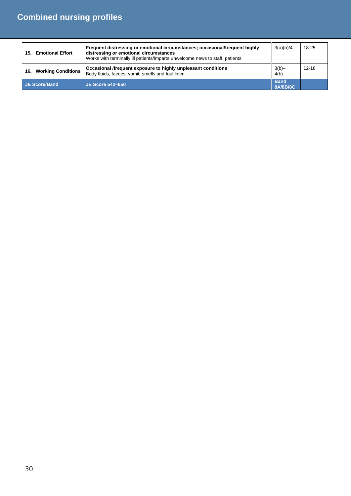| <b>Emotional Effort</b><br>15. | Frequent distressing or emotional circumstances; occasional/frequent highly<br>distressing or emotional circumstances<br>Works with terminally ill patients/imparts unwelcome news to staff, patients | 3(a)(b)/4               | 18-25     |
|--------------------------------|-------------------------------------------------------------------------------------------------------------------------------------------------------------------------------------------------------|-------------------------|-----------|
| 16. Working Conditions         | Occasional /frequent exposure to highly unpleasant conditions<br>Body fluids, faeces, vomit, smells and foul linen                                                                                    | $3(b)$ -<br>4(b)        | $12 - 18$ |
| JE Score/Band                  | <b>JE Score 542-650</b>                                                                                                                                                                               | <b>Band</b><br>8A/8B/8C |           |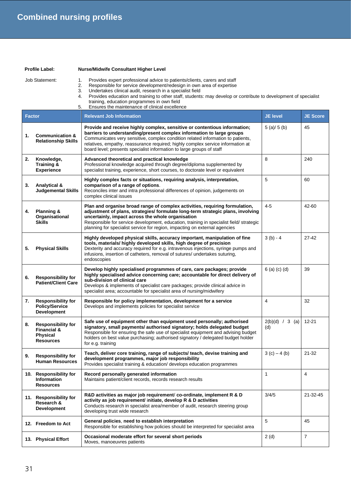### **Profile Label: Nurse/Midwife Consultant Higher Level**

### Job Statement: 1. Provides expert professional advice to patients/clients, carers and staff

- 2. Responsible for service development/redesign in own area of expertise
	- 3. Undertakes clinical audit, research in a specialist field

|                                                                                                                     | <b>The discussion of the first constructions</b> |  |  |
|---------------------------------------------------------------------------------------------------------------------|--------------------------------------------------|--|--|
|                                                                                                                     | Ensures the maintenance of clinical excellence   |  |  |
|                                                                                                                     | training, education programmes in own field      |  |  |
| 4. Provides education and training to other staff, students: may develop or contribute to development of specialist |                                                  |  |  |

| <b>Factor</b> |                                                                                            | <b>Relevant Job Information</b>                                                                                                                                                                                                                                                                                                                                                                   | <b>JE level</b>          | <b>JE Score</b> |
|---------------|--------------------------------------------------------------------------------------------|---------------------------------------------------------------------------------------------------------------------------------------------------------------------------------------------------------------------------------------------------------------------------------------------------------------------------------------------------------------------------------------------------|--------------------------|-----------------|
| 1.            | <b>Communication &amp;</b><br><b>Relationship Skills</b>                                   | Provide and receive highly complex, sensitive or contentious information;<br>barriers to understanding/present complex information to large groups<br>Communicates very sensitive, complex condition related information to patients,<br>relatives, empathy, reassurance required; highly complex service information at<br>board level; presents specialist information to large groups of staff | 5(a)/5(b)                | 45              |
| 2.            | Knowledge,<br>Training &<br><b>Experience</b>                                              | Advanced theoretical and practical knowledge<br>Professional knowledge acquired through degree/diploma supplemented by<br>specialist training, experience, short courses, to doctorate level or equivalent                                                                                                                                                                                        | 8                        | 240             |
| 3.            | Analytical &<br><b>Judgemental Skills</b>                                                  | Highly complex facts or situations, requiring analysis, interpretation,<br>comparison of a range of options.<br>Reconciles inter and intra professional differences of opinion, judgements on<br>complex clinical issues                                                                                                                                                                          | 5                        | 60              |
| 4.            | Planning &<br>Organisational<br><b>Skills</b>                                              | Plan and organise broad range of complex activities, requiring formulation,<br>adjustment of plans, strategies/ formulate long-term strategic plans, involving<br>uncertainly, impact across the whole organisation<br>Responsible for service development, education, training in specialist field/ strategic<br>planning for specialist service for region, impacting on external agencies      | $4-5$                    | 42-60           |
| 5.            | <b>Physical Skills</b>                                                                     | Highly developed physical skills, accuracy important, manipulation of fine<br>tools, materials/ highly developed skills, high degree of precision<br>Dexterity and accuracy required for e.g. intravenous injections, syringe pumps and<br>infusions, insertion of catheters, removal of sutures/ undertakes suturing,<br>endoscopies                                                             | $3(b) - 4$               | $27 - 42$       |
| 6.            | <b>Responsibility for</b><br><b>Patient/Client Care</b>                                    | Develop highly specialised programmes of care, care packages; provide<br>highly specialised advice concerning care; accountable for direct delivery of<br>sub-division of clinical care<br>Develops & implements of specialist care packages; provide clinical advice in<br>specialist area; accountable for specialist area of nursing/midwifery                                                 | $6$ (a) (c) (d)          | 39              |
| 7.            | <b>Responsibility for</b><br><b>Policy/Service</b><br><b>Development</b>                   | Responsible for policy implementation, development for a service<br>Develops and implements policies for specialist service                                                                                                                                                                                                                                                                       | $\overline{4}$           | 32              |
| 8.            | <b>Responsibility for</b><br><b>Financial &amp;</b><br><b>Physical</b><br><b>Resources</b> | Safe use of equipment other than equipment used personally; authorised<br>signatory, small payments/ authorised signatory; holds delegated budget<br>Responsible for ensuring the safe use of specialist equipment and advising budget<br>holders on best value purchasing; authorised signatory / delegated budget holder<br>for e.g. training                                                   | $2(b)(d) / 3$ (a)<br>(d) | $12 - 21$       |
| 9.            | <b>Responsibility for</b><br><b>Human Resources</b>                                        | Teach, deliver core training, range of subjects/ teach, devise training and<br>development programmes, major job responsibility<br>Provides specialist training & education/ develops education programmes                                                                                                                                                                                        | $3(c) - 4(b)$            | $21 - 32$       |
|               | 10. Responsibility for<br>information<br><b>Resources</b>                                  | Record personally generated information<br>Maintains patient/client records, records research results                                                                                                                                                                                                                                                                                             | 1                        | 4               |
|               | 11. Responsibility for<br>Research &<br><b>Development</b>                                 | R&D activities as major job requirement/ co-ordinate, implement R & D<br>activity as job requirement/ initiate, develop R & D activities<br>Conducts research in specialist area/member of audit, research steering group<br>developing trust wide research                                                                                                                                       | 3/4/5                    | 21-32-45        |
|               | 12. Freedom to Act                                                                         | General policies, need to establish interpretation<br>Responsible for establishing how policies should be interpreted for specialist area                                                                                                                                                                                                                                                         | 5                        | 45              |
|               | 13. Physical Effort                                                                        | Occasional moderate effort for several short periods<br>Moves, manoeuvres patients                                                                                                                                                                                                                                                                                                                | 2(d)                     | $\overline{7}$  |